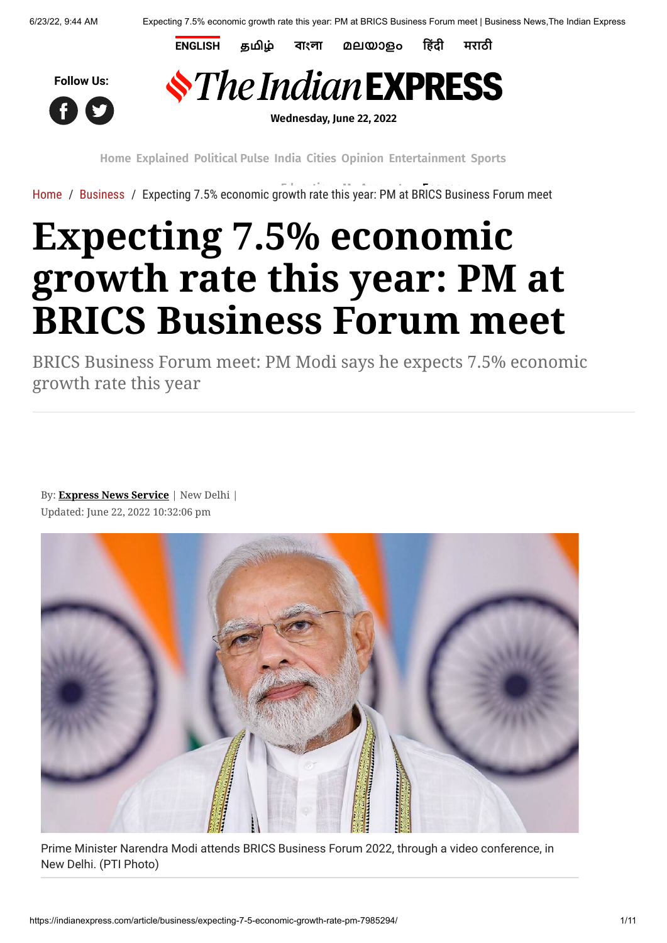**[ENGLISH](https://indianexpress.com/) [தமிழ்](https://tamil.indianexpress.com/) [বাংলা](https://bengali.indianexpress.com/) [മലയാളം](https://malayalam.indianexpress.com/) [हिंदी](https://www.jansatta.com/) [मराठी](https://www.loksatta.com/)**





**Wednesday, June 22, 2022**

**[Home](https://indianexpress.com/) [Explained](https://indianexpress.com/section/explained/) [Political](https://indianexpress.com/section/political-pulse/) Pulse [India](https://indianexpress.com/section/india/) [Cities](https://indianexpress.com/section/cities/) [Opinion](https://indianexpress.com/section/opinion/) [Entertainment](https://indianexpress.com/section/entertainment/) [Sports](https://indianexpress.com/section/sports/)**

[Home](https://indianexpress.com/) / [Business](https://indianexpress.com/section/business/) / [Expecting 7.5% economic g](https://pubads.g.doubleclick.net/gampad/clk?id=6027058703&iu=/1050432/Clk_Trk_1x1_IE)rowth rate t[his year: PM at](https://indianexpress.com/my-account/) [BRICS Busine](https://indianexpress.com/express-plus/today-newsstand/)ss Forum meet

## **Expecting 7.5% economic growth rate this year: PM at BRICS Business Forum meet**

BRICS Business Forum meet: PM Modi says he expects 7.5% economic growth rate this year

By: **[Express News Service](https://indianexpress.com/agency/express-news-service/)** | New Delhi | Updated: June 22, 2022 10:32:06 pm



Prime Minister Narendra Modi attends BRICS Business Forum 2022, through a video conference, in New Delhi. (PTI Photo)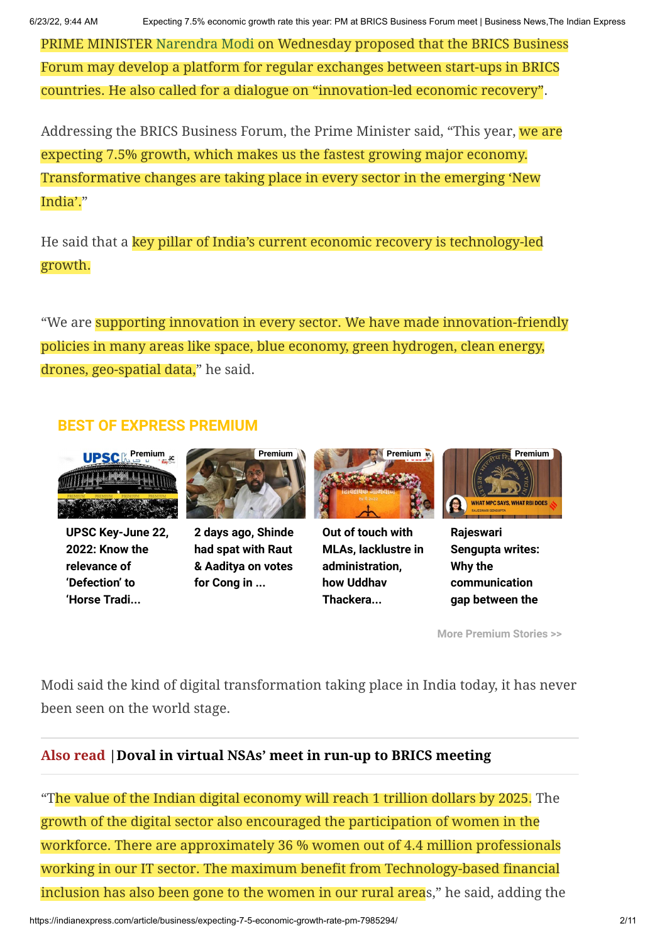PRIME MINISTER [Narendra Modi](https://indianexpress.com/about/narendra-modi/) on Wednesday proposed that the BRICS Business Forum may develop a platform for regular exchanges between start-ups in BRICS countries. He also called for a dialogue on "innovation-led economic recovery".

Addressing the BRICS Business Forum, the Prime Minister said, "This year, we are expecting 7.5% growth, which makes us the fastest growing major economy. Transformative changes are taking place in every sector in the emerging 'New India'."

He said that a key pillar of India's current economic recovery is technology-led growth.

"We are supporting innovation in every sector. We have made innovation-friendly policies in many areas like space, blue economy, green hydrogen, clean energy, drones, geo-spatial data," he said.

## **BEST OF EXPRESS PREMIUM**



**[UPSC Key-June 22,](https://indianexpress.com/article/upsc-current-affairs/upsc-key-june-22-2022-know-the-relevance-of-defection-to-horse-trading-to-twin-deficit-for-upsc-cse-7985140/) 2022: Know the relevance of 'Defection' to 'Horse Tradi...**



**[2 days ago, Shinde](https://indianexpress.com/article/cities/mumbai/two-days-ago-shinde-had-spat-with-raut-aaditya-votes-cong-mlc-polls-7983148/) had spat with Raut & Aaditya on votes for Cong in ...**



**Out of touch with [MLAs, lacklustre in](https://indianexpress.com/article/political-pulse/maharashtra-govt-mva-uddhav-thackeray-mlas-discontent-political-crisis-7983020/) administration, how Uddhav Thackera...**



**Rajeswari [Sengupta writes:](https://indianexpress.com/article/opinion/columns/mpc-monetary-policy-committee-rbi-7983009/) Why the communication gap between the**

**[More Premium Stories >>](https://indianexpress.com/about/express-premium/)**

Modi said the kind of digital transformation taking place in India today, it has never been seen on the world stage.

## **Also read [|Doval in virtual NSAs' meet in run-up to BRICS meeting](https://indianexpress.com/article/india/doval-in-virtual-nsas-meet-in-run-up-to-brics-meeting-7972379/)**

"The value of the Indian digital economy will reach 1 trillion dollars by 2025. The growth of the digital sector also encouraged the participation of women in the workforce. There are approximately 36 % women out of 4.4 million professionals working in our IT sector. The maximum benefit from Technology-based financial inclusion has also been gone to the women in our rural areas," he said, adding the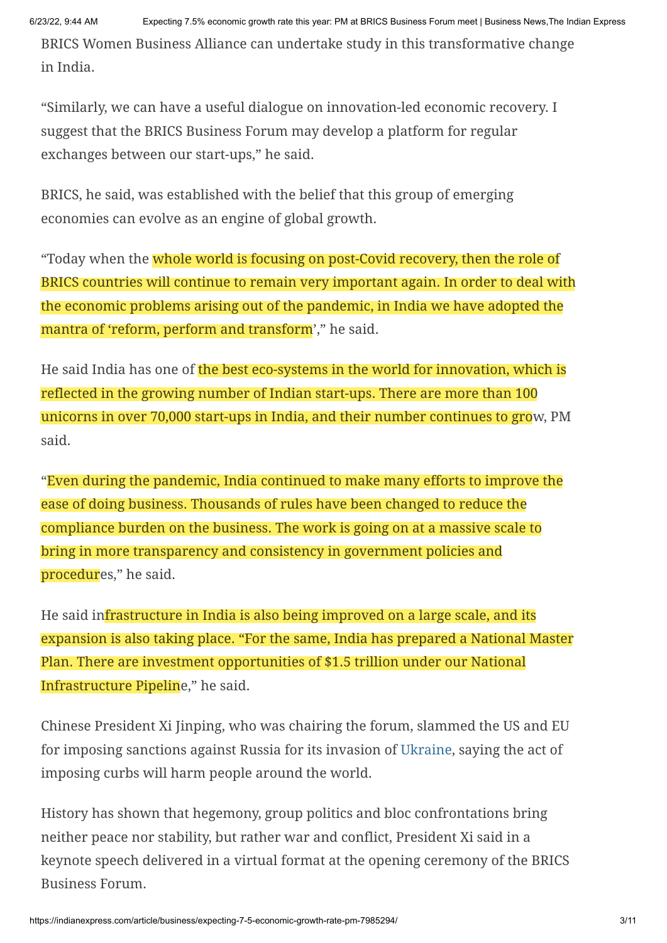BRICS Women Business Alliance can undertake study in this transformative change in India.

"Similarly, we can have a useful dialogue on innovation-led economic recovery. I suggest that the BRICS Business Forum may develop a platform for regular exchanges between our start-ups," he said.

BRICS, he said, was established with the belief that this group of emerging economies can evolve as an engine of global growth.

"Today when the whole world is focusing on post-Covid recovery, then the role of BRICS countries will continue to remain very important again. In order to deal with the economic problems arising out of the pandemic, in India we have adopted the mantra of 'reform, perform and transform'," he said.

He said India has one of the best eco-systems in the world for innovation, which is reflected in the growing number of Indian start-ups. There are more than 100 unicorns in over 70,000 start-ups in India, and their number continues to grow, PM said.

"Even during the pandemic, India continued to make many efforts to improve the ease of doing business. Thousands of rules have been changed to reduce the compliance burden on the business. The work is going on at a massive scale to bring in more transparency and consistency in government policies and procedures," he said.

He said infrastructure in India is also being improved on a large scale, and its expansion is also taking place. "For the same, India has prepared a National Master Plan. There are investment opportunities of \$1.5 trillion under our National Infrastructure Pipeline," he said.

Chinese President Xi Jinping, who was chairing the forum, slammed the US and EU for imposing sanctions against Russia for its invasion of [Ukraine](https://indianexpress.com/article/explained/everyday-explainers/russia-invasion-ukraine-history-creation-explained-7791147/), saying the act of imposing curbs will harm people around the world.

History has shown that hegemony, group politics and bloc confrontations bring neither peace nor stability, but rather war and conflict, President Xi said in a keynote speech delivered in a virtual format at the opening ceremony of the BRICS Business Forum.